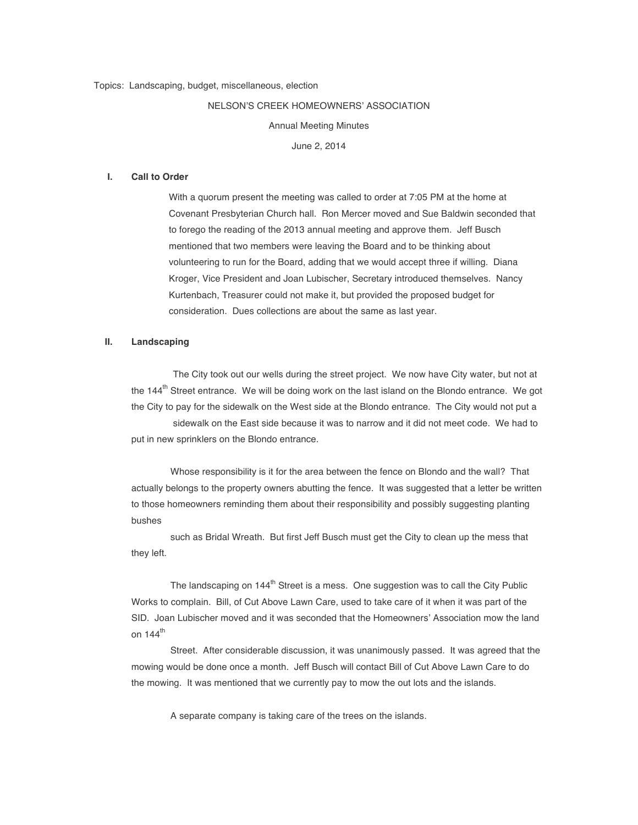## NELSON'S CREEK HOMEOWNERS' ASSOCIATION

Annual Meeting Minutes

June 2, 2014

#### **I. Call to Order**

With a quorum present the meeting was called to order at 7:05 PM at the home at Covenant Presbyterian Church hall. Ron Mercer moved and Sue Baldwin seconded that to forego the reading of the 2013 annual meeting and approve them. Jeff Busch mentioned that two members were leaving the Board and to be thinking about volunteering to run for the Board, adding that we would accept three if willing. Diana Kroger, Vice President and Joan Lubischer, Secretary introduced themselves. Nancy Kurtenbach, Treasurer could not make it, but provided the proposed budget for consideration. Dues collections are about the same as last year.

#### **II. Landscaping**

 The City took out our wells during the street project. We now have City water, but not at the 144<sup>th</sup> Street entrance. We will be doing work on the last island on the Blondo entrance. We got the City to pay for the sidewalk on the West side at the Blondo entrance. The City would not put a sidewalk on the East side because it was to narrow and it did not meet code. We had to put in new sprinklers on the Blondo entrance.

 Whose responsibility is it for the area between the fence on Blondo and the wall? That actually belongs to the property owners abutting the fence. It was suggested that a letter be written to those homeowners reminding them about their responsibility and possibly suggesting planting bushes

 such as Bridal Wreath. But first Jeff Busch must get the City to clean up the mess that they left.

The landscaping on 144<sup>th</sup> Street is a mess. One suggestion was to call the City Public Works to complain. Bill, of Cut Above Lawn Care, used to take care of it when it was part of the SID. Joan Lubischer moved and it was seconded that the Homeowners' Association mow the land on  $144<sup>th</sup>$ 

 Street. After considerable discussion, it was unanimously passed. It was agreed that the mowing would be done once a month. Jeff Busch will contact Bill of Cut Above Lawn Care to do the mowing. It was mentioned that we currently pay to mow the out lots and the islands.

A separate company is taking care of the trees on the islands.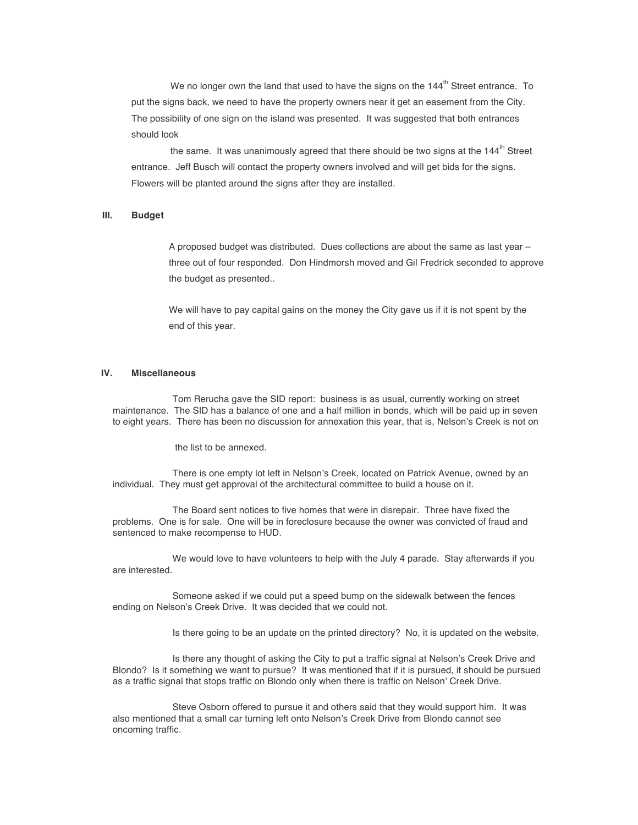We no longer own the land that used to have the signs on the  $144<sup>th</sup>$  Street entrance. To put the signs back, we need to have the property owners near it get an easement from the City. The possibility of one sign on the island was presented. It was suggested that both entrances should look

the same. It was unanimously agreed that there should be two signs at the 144<sup>th</sup> Street entrance. Jeff Busch will contact the property owners involved and will get bids for the signs. Flowers will be planted around the signs after they are installed.

## **III. Budget**

A proposed budget was distributed. Dues collections are about the same as last year – three out of four responded. Don Hindmorsh moved and Gil Fredrick seconded to approve the budget as presented..

We will have to pay capital gains on the money the City gave us if it is not spent by the end of this year.

# **IV. Miscellaneous**

Tom Rerucha gave the SID report: business is as usual, currently working on street maintenance. The SID has a balance of one and a half million in bonds, which will be paid up in seven to eight years. There has been no discussion for annexation this year, that is, Nelson's Creek is not on

the list to be annexed.

 There is one empty lot left in Nelson's Creek, located on Patrick Avenue, owned by an individual. They must get approval of the architectural committee to build a house on it.

 The Board sent notices to five homes that were in disrepair. Three have fixed the problems. One is for sale. One will be in foreclosure because the owner was convicted of fraud and sentenced to make recompense to HUD.

 We would love to have volunteers to help with the July 4 parade. Stay afterwards if you are interested.

 Someone asked if we could put a speed bump on the sidewalk between the fences ending on Nelson's Creek Drive. It was decided that we could not.

Is there going to be an update on the printed directory? No, it is updated on the website.

 Is there any thought of asking the City to put a traffic signal at Nelson's Creek Drive and Blondo? Is it something we want to pursue? It was mentioned that if it is pursued, it should be pursued as a traffic signal that stops traffic on Blondo only when there is traffic on Nelson' Creek Drive.

 Steve Osborn offered to pursue it and others said that they would support him. It was also mentioned that a small car turning left onto Nelson's Creek Drive from Blondo cannot see oncoming traffic.